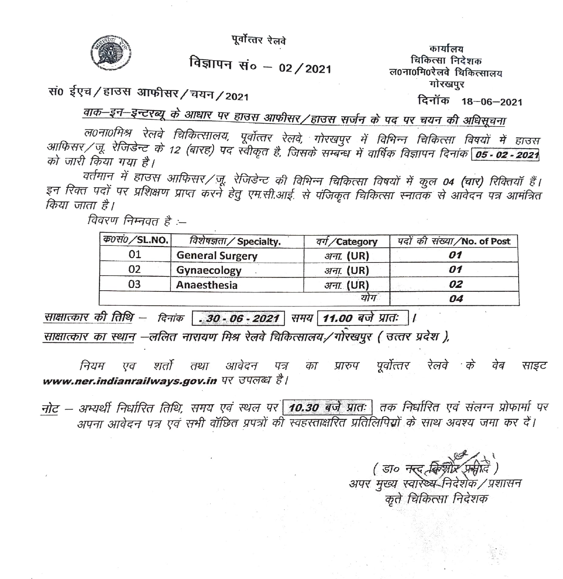पूर्वोत्तर रेलवे



विज्ञापन सं० - 02/2021

कार्यालय चिकित्सा निटेशक ल0ना0मि0रेलवे चिकित्सालय गोरखपुर

सं0 ईएच/हाउस आफीसर/चयन/2021

दिनॉक 18-06-2021

वाक–इन–इन्टरब्यू के आधार पर हाउस आफीसर/हाउस सर्जन के पद पर चयन की अधिसूचना

ल0ना0मिश्र रेलवे चिकित्सालय, पूर्वोत्तर रेलवे, गोरखपुर में विभिन्न चिकित्सा विषयों में हाउस आफिसर/जू. रेजिडेन्ट के 12 (बारह) पद स्वीकृत है, जिसके सम्बन्ध में वार्षिक विज्ञापन दिनांक <mark>05 - 02 - 2021</mark> को जारी किया गया है।

वर्तमान में हाउस आफिसर/जू. रेजिडेन्ट की विभिन्न चिकित्सा विषयों में कुल 04 (चार) रिक्तियॉ हैं। इन रिक्त पदों पर प्रशिक्षण प्राप्त करने हेतु एम.सी.आई. से पंजिकृत चिकित्सा स्नातक से आवेदन पत्र आमंत्रित किया जाता है।

विवरण निम्नवत है :--

| <i>क0सं0/SL.NO.</i> | विशेषज्ञता / Specialty. | वर्ग/Category | पदों की संख्या/No. of Post |  |
|---------------------|-------------------------|---------------|----------------------------|--|
| 01                  | <b>General Surgery</b>  | अना. (UR)     |                            |  |
| 02                  | Gynaecology             | 3777. (UR)    | 01                         |  |
| 03                  | Anaesthesia             | अना. (UR)     | 02                         |  |
|                     |                         | योग           | 04                         |  |

<u>साक्षात्कार की तिथि</u> – दिनांक **. 30 - 06 - 2021** समय 11.00 बजे प्रातः |।

साक्षात्कार का स्थान –ललित नारायण मिश्र रेलवे चिकित्सालय./गोरेखपूर ( उत्तर प्रदेश ),

पूर्वोत्तर रेलवे के वेब शर्तो तथा आवेदन पत्र नियम एव का प्रारुप साइट www.ner.indianrailways.gov.in पर उपलब्ध है।

नोट – अभ्यर्थी निर्धारित तिथि, समय एवं स्थल पर 10.30 बर्जे प्रातः तक निर्धारित एवं संलग्न प्रोफार्मा पर अपना आवेदन पत्र एवं सभी वॉछित प्रपत्रों की स्वहस्ताक्षरित प्रतिलिपियों के साथ अवश्य जमा कर दें।

> (डा० नर्द $\mathcal{A}$ के अपर मुख्य स्वारेथ्य निर्देशक / प्रशासन कते चिकित्सा निदेशक